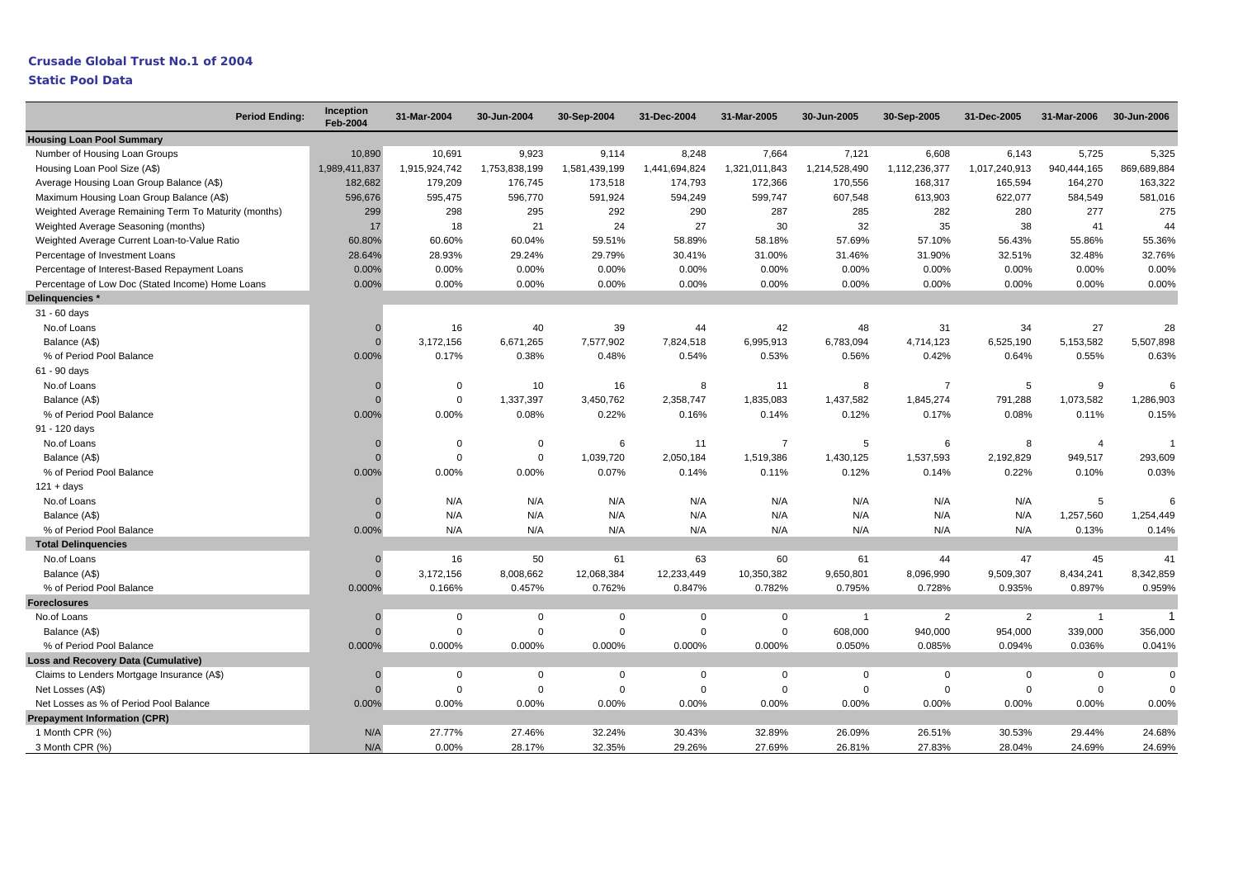#### **Crusade Global Trust No.1 of 2004**

| <b>Period Ending:</b>                                | Inception<br><b>Feb-2004</b> | 31-Mar-2004   | 30-Jun-2004   | 30-Sep-2004   | 31-Dec-2004   | 31-Mar-2005    | 30-Jun-2005    | 30-Sep-2005    | 31-Dec-2005    | 31-Mar-2006     | 30-Jun-2006 |
|------------------------------------------------------|------------------------------|---------------|---------------|---------------|---------------|----------------|----------------|----------------|----------------|-----------------|-------------|
| <b>Housing Loan Pool Summary</b>                     |                              |               |               |               |               |                |                |                |                |                 |             |
| Number of Housing Loan Groups                        | 10,890                       | 10,691        | 9,923         | 9,114         | 8.248         | 7,664          | 7,121          | 6,608          | 6,143          | 5,725           | 5,325       |
| Housing Loan Pool Size (A\$)                         | 1,989,411,837                | 1,915,924,742 | 1,753,838,199 | 1,581,439,199 | 1,441,694,824 | 1,321,011,843  | 1,214,528,490  | 1,112,236,377  | 1,017,240,913  | 940,444,165     | 869,689,884 |
| Average Housing Loan Group Balance (A\$)             | 182,682                      | 179,209       | 176,745       | 173,518       | 174,793       | 172,366        | 170,556        | 168,317        | 165,594        | 164,270         | 163,322     |
| Maximum Housing Loan Group Balance (A\$)             | 596,676                      | 595,475       | 596,770       | 591,924       | 594,249       | 599,747        | 607,548        | 613,903        | 622,077        | 584,549         | 581,016     |
| Weighted Average Remaining Term To Maturity (months) | 299                          | 298           | 295           | 292           | 290           | 287            | 285            | 282            | 280            | 277             | 275         |
| Weighted Average Seasoning (months)                  | 17                           | 18            | 21            | 24            | 27            | 30             | 32             | 35             | 38             | 41              | 44          |
| Weighted Average Current Loan-to-Value Ratio         | 60.80%                       | 60.60%        | 60.04%        | 59.51%        | 58.89%        | 58.18%         | 57.69%         | 57.10%         | 56.43%         | 55.86%          | 55.36%      |
| Percentage of Investment Loans                       | 28.64%                       | 28.93%        | 29.24%        | 29.79%        | 30.41%        | 31.00%         | 31.46%         | 31.90%         | 32.51%         | 32.48%          | 32.76%      |
| Percentage of Interest-Based Repayment Loans         | 0.00%                        | 0.00%         | 0.00%         | 0.00%         | 0.00%         | 0.00%          | 0.00%          | 0.00%          | 0.00%          | 0.00%           | 0.00%       |
| Percentage of Low Doc (Stated Income) Home Loans     | 0.00%                        | 0.00%         | 0.00%         | 0.00%         | 0.00%         | 0.00%          | 0.00%          | 0.00%          | 0.00%          | 0.00%           | 0.00%       |
| Delinquencies *                                      |                              |               |               |               |               |                |                |                |                |                 |             |
| 31 - 60 days                                         |                              |               |               |               |               |                |                |                |                |                 |             |
| No.of Loans                                          | $\Omega$                     | 16            | 40            | 39            | 44            | 42             | 48             | 31             | 34             | 27              | 28          |
| Balance (A\$)                                        | $\Omega$                     | 3,172,156     | 6,671,265     | 7,577,902     | 7,824,518     | 6,995,913      | 6,783,094      | 4,714,123      | 6,525,190      | 5,153,582       | 5,507,898   |
| % of Period Pool Balance                             | 0.00%                        | 0.17%         | 0.38%         | 0.48%         | 0.54%         | 0.53%          | 0.56%          | 0.42%          | 0.64%          | 0.55%           | 0.63%       |
| 61 - 90 days                                         |                              |               |               |               |               |                |                |                |                |                 |             |
| No.of Loans                                          | $\Omega$                     | $\Omega$      | 10            | 16            | 8             | 11             | 8              | $\overline{7}$ | 5              | 9               |             |
| Balance (A\$)                                        | $\Omega$                     | $\Omega$      | 1,337,397     | 3,450,762     | 2,358,747     | 1,835,083      | 1,437,582      | 1,845,274      | 791,288        | 1,073,582       | 1,286,903   |
| % of Period Pool Balance                             | 0.00%                        | 0.00%         | 0.08%         | 0.22%         | 0.16%         | 0.14%          | 0.12%          | 0.17%          | 0.08%          | 0.11%           | 0.15%       |
| 91 - 120 days                                        |                              |               |               |               |               |                |                |                |                |                 |             |
| No.of Loans                                          | $\Omega$                     | $\Omega$      | $\mathbf 0$   | 6             | 11            | $\overline{7}$ | 5              | 6              | 8              | $\overline{4}$  |             |
| Balance (A\$)                                        |                              | $\Omega$      | $\mathbf 0$   | 1,039,720     | 2,050,184     | 1,519,386      | 1,430,125      | 1,537,593      | 2,192,829      | 949,517         | 293,609     |
| % of Period Pool Balance                             | 0.00%                        | 0.00%         | 0.00%         | 0.07%         | 0.14%         | 0.11%          | 0.12%          | 0.14%          | 0.22%          | 0.10%           | 0.03%       |
| $121 + days$                                         |                              |               |               |               |               |                |                |                |                |                 |             |
| No.of Loans                                          | $\Omega$                     | N/A           | N/A           | N/A           | N/A           | N/A            | N/A            | N/A            | N/A            | $5\phantom{.0}$ | 6           |
| Balance (A\$)                                        | $\Omega$                     | N/A           | N/A           | N/A           | N/A           | N/A            | N/A            | N/A            | N/A            | 1,257,560       | 1,254,449   |
| % of Period Pool Balance                             | 0.00%                        | N/A           | N/A           | N/A           | N/A           | N/A            | N/A            | N/A            | N/A            | 0.13%           | 0.14%       |
| <b>Total Delinquencies</b>                           |                              |               |               |               |               |                |                |                |                |                 |             |
| No.of Loans                                          | $\Omega$                     | 16            | 50            | 61            | 63            | 60             | 61             | 44             | 47             | 45              | 41          |
| Balance (A\$)                                        | $\Omega$                     | 3,172,156     | 8,008,662     | 12,068,384    | 12,233,449    | 10,350,382     | 9,650,801      | 8,096,990      | 9,509,307      | 8,434,241       | 8,342,859   |
| % of Period Pool Balance                             | 0.000%                       | 0.166%        | 0.457%        | 0.762%        | 0.847%        | 0.782%         | 0.795%         | 0.728%         | 0.935%         | 0.897%          | 0.959%      |
| <b>Foreclosures</b>                                  |                              |               |               |               |               |                |                |                |                |                 |             |
| No.of Loans                                          | $\Omega$                     | $\Omega$      | $\mathbf 0$   | $\mathbf 0$   | $\Omega$      | $\Omega$       | $\overline{1}$ | $\overline{2}$ | $\overline{2}$ | $\overline{1}$  | 1           |
| Balance (A\$)                                        | $\Omega$                     | $\Omega$      | $\mathbf 0$   | $\mathbf 0$   | $\Omega$      | $\Omega$       | 608,000        | 940,000        | 954,000        | 339,000         | 356,000     |
| % of Period Pool Balance                             | 0.000%                       | 0.000%        | 0.000%        | 0.000%        | 0.000%        | 0.000%         | 0.050%         | 0.085%         | 0.094%         | 0.036%          | 0.041%      |
| <b>Loss and Recovery Data (Cumulative)</b>           |                              |               |               |               |               |                |                |                |                |                 |             |
| Claims to Lenders Mortgage Insurance (A\$)           | $\Omega$                     | $\Omega$      | $\mathsf 0$   | $\mathbf 0$   | $\mathbf 0$   | $\mathbf 0$    | $\mathbf 0$    | $\mathbf 0$    | $\mathbf 0$    | $\mathbf 0$     | $\mathbf 0$ |
| Net Losses (A\$)                                     | $\Omega$                     | $\Omega$      | $\mathbf 0$   | $\mathbf 0$   | $\mathsf 0$   | $\mathbf 0$    | $\mathbf 0$    | $\mathbf 0$    | $\mathbf 0$    | $\mathbf 0$     | $\Omega$    |
| Net Losses as % of Period Pool Balance               | 0.00%                        | 0.00%         | 0.00%         | 0.00%         | 0.00%         | 0.00%          | 0.00%          | 0.00%          | 0.00%          | 0.00%           | 0.00%       |
| <b>Prepayment Information (CPR)</b>                  |                              |               |               |               |               |                |                |                |                |                 |             |
| 1 Month CPR (%)                                      | N/A                          | 27.77%        | 27.46%        | 32.24%        | 30.43%        | 32.89%         | 26.09%         | 26.51%         | 30.53%         | 29.44%          | 24.68%      |
| 3 Month CPR (%)                                      | N/A                          | 0.00%         | 28.17%        | 32.35%        | 29.26%        | 27.69%         | 26.81%         | 27.83%         | 28.04%         | 24.69%          | 24.69%      |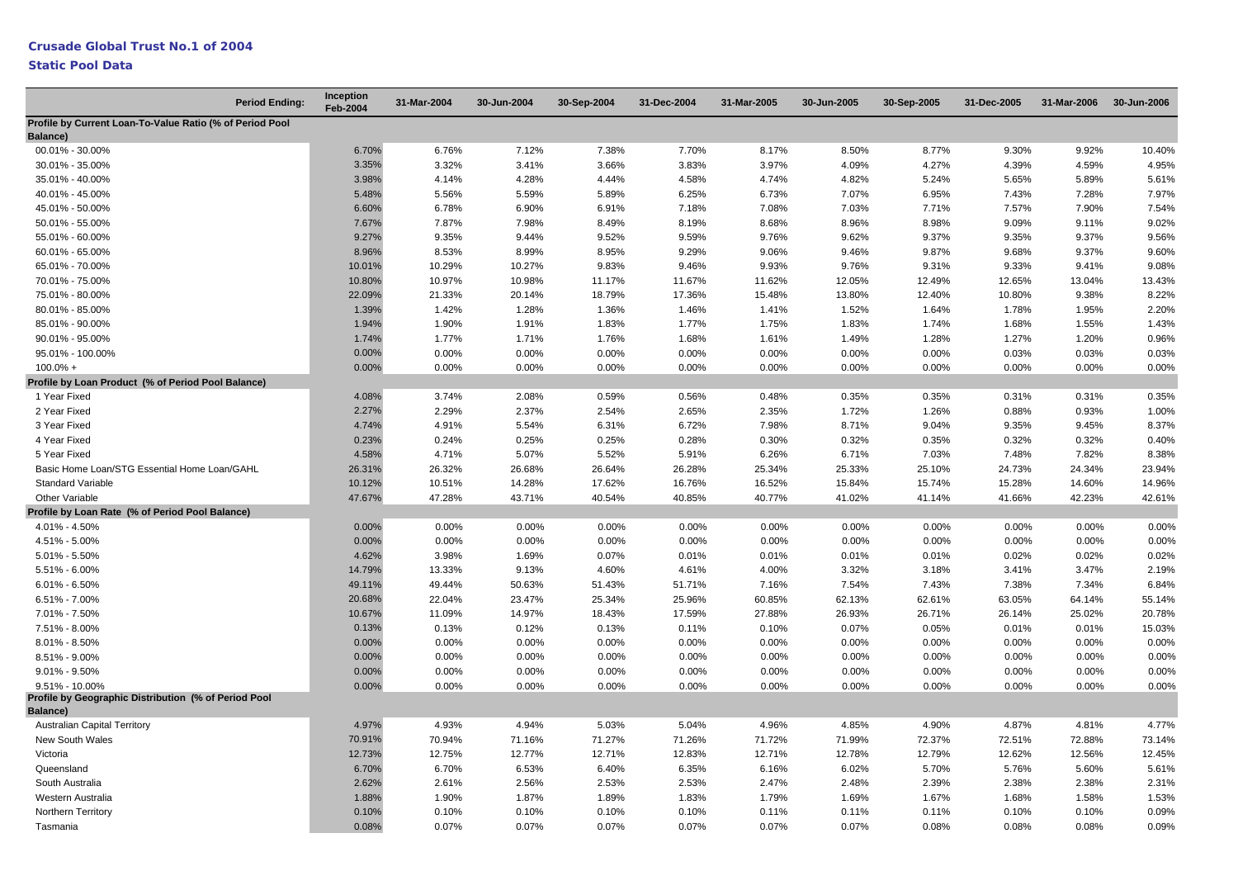| <b>Period Ending:</b>                                                   | <b>Inception</b><br>Feb-2004 | 31-Mar-2004 | 30-Jun-2004 | 30-Sep-2004 | 31-Dec-2004 | 31-Mar-2005 | 30-Jun-2005 | 30-Sep-2005 | 31-Dec-2005 | 31-Mar-2006 | 30-Jun-2006 |
|-------------------------------------------------------------------------|------------------------------|-------------|-------------|-------------|-------------|-------------|-------------|-------------|-------------|-------------|-------------|
| Profile by Current Loan-To-Value Ratio (% of Period Pool<br>Balance)    |                              |             |             |             |             |             |             |             |             |             |             |
| 00.01% - 30.00%                                                         | 6.70%                        | 6.76%       | 7.12%       | 7.38%       | 7.70%       | 8.17%       | 8.50%       | 8.77%       | 9.30%       | 9.92%       | 10.40%      |
| 30.01% - 35.00%                                                         | 3.35%                        | 3.32%       | 3.41%       | 3.66%       | 3.83%       | 3.97%       | 4.09%       | 4.27%       | 4.39%       | 4.59%       | 4.95%       |
| 35.01% - 40.00%                                                         | 3.98%                        | 4.14%       | 4.28%       | 4.44%       | 4.58%       | 4.74%       | 4.82%       | 5.24%       | 5.65%       | 5.89%       | 5.61%       |
| 40.01% - 45.00%                                                         | 5.48%                        | 5.56%       | 5.59%       | 5.89%       | 6.25%       | 6.73%       | 7.07%       | 6.95%       | 7.43%       | 7.28%       | 7.97%       |
| 45.01% - 50.00%                                                         | 6.60%                        | 6.78%       | 6.90%       | 6.91%       | 7.18%       | 7.08%       | 7.03%       | 7.71%       | 7.57%       | 7.90%       | 7.54%       |
| 50.01% - 55.00%                                                         | 7.67%                        | 7.87%       | 7.98%       | 8.49%       | 8.19%       | 8.68%       | 8.96%       | 8.98%       | 9.09%       | 9.11%       | 9.02%       |
| 55.01% - 60.00%                                                         | 9.27%                        | 9.35%       | 9.44%       | 9.52%       | 9.59%       | 9.76%       | 9.62%       | 9.37%       | 9.35%       | 9.37%       | 9.56%       |
| 60.01% - 65.00%                                                         | 8.96%                        | 8.53%       | 8.99%       | 8.95%       | 9.29%       | 9.06%       | 9.46%       | 9.87%       | 9.68%       | 9.37%       | 9.60%       |
| 65.01% - 70.00%                                                         | 10.01%                       | 10.29%      | 10.27%      | 9.83%       | 9.46%       | 9.93%       | 9.76%       | 9.31%       | 9.33%       | 9.41%       | 9.08%       |
| 70.01% - 75.00%                                                         | 10.80%                       | 10.97%      | 10.98%      | 11.17%      | 11.67%      | 11.62%      | 12.05%      | 12.49%      | 12.65%      | 13.04%      | 13.43%      |
| 75.01% - 80.00%                                                         | 22.09%                       | 21.33%      | 20.14%      | 18.79%      | 17.36%      | 15.48%      | 13.80%      | 12.40%      | 10.80%      | 9.38%       | 8.22%       |
| 80.01% - 85.00%                                                         | 1.39%                        | 1.42%       | 1.28%       | 1.36%       | 1.46%       | 1.41%       | 1.52%       | 1.64%       | 1.78%       | 1.95%       | 2.20%       |
| 85.01% - 90.00%                                                         | 1.94%                        | 1.90%       | 1.91%       | 1.83%       | 1.77%       | 1.75%       | 1.83%       | 1.74%       | 1.68%       | 1.55%       | 1.43%       |
| 90.01% - 95.00%                                                         | 1.74%                        | 1.77%       | 1.71%       | 1.76%       | 1.68%       | 1.61%       | 1.49%       | 1.28%       | 1.27%       | 1.20%       | 0.96%       |
| 95.01% - 100.00%                                                        | 0.00%                        | 0.00%       | 0.00%       | 0.00%       | 0.00%       | 0.00%       | 0.00%       | 0.00%       | 0.03%       | 0.03%       | 0.03%       |
| $100.0% +$                                                              | 0.00%                        | 0.00%       | 0.00%       | 0.00%       | 0.00%       | 0.00%       | 0.00%       | 0.00%       | 0.00%       | 0.00%       | 0.00%       |
| Profile by Loan Product (% of Period Pool Balance)                      |                              |             |             |             |             |             |             |             |             |             |             |
| 1 Year Fixed                                                            | 4.08%                        | 3.74%       | 2.08%       | 0.59%       | 0.56%       | 0.48%       | 0.35%       | 0.35%       | 0.31%       | 0.31%       | 0.35%       |
| 2 Year Fixed                                                            | 2.27%                        | 2.29%       | 2.37%       | 2.54%       | 2.65%       | 2.35%       | 1.72%       | 1.26%       | 0.88%       | 0.93%       | 1.00%       |
| 3 Year Fixed                                                            | 4.74%                        | 4.91%       | 5.54%       | 6.31%       | 6.72%       | 7.98%       | 8.71%       | 9.04%       | 9.35%       | 9.45%       | 8.37%       |
| 4 Year Fixed                                                            | 0.23%                        | 0.24%       | 0.25%       | 0.25%       | 0.28%       | 0.30%       | 0.32%       | 0.35%       | 0.32%       | 0.32%       | 0.40%       |
| 5 Year Fixed                                                            | 4.58%                        | 4.71%       | 5.07%       | 5.52%       | 5.91%       | 6.26%       | 6.71%       | 7.03%       | 7.48%       | 7.82%       | 8.38%       |
| Basic Home Loan/STG Essential Home Loan/GAHL                            | 26.31%                       | 26.32%      | 26.68%      | 26.64%      | 26.28%      | 25.34%      | 25.33%      | 25.10%      | 24.73%      | 24.34%      | 23.94%      |
| <b>Standard Variable</b>                                                | 10.12%                       | 10.51%      | 14.28%      | 17.62%      | 16.76%      | 16.52%      | 15.84%      | 15.74%      | 15.28%      | 14.60%      | 14.96%      |
| Other Variable                                                          | 47.67%                       | 47.28%      | 43.71%      | 40.54%      | 40.85%      | 40.77%      | 41.02%      | 41.14%      | 41.66%      | 42.23%      | 42.61%      |
| Profile by Loan Rate (% of Period Pool Balance)                         |                              |             |             |             |             |             |             |             |             |             |             |
| 4.01% - 4.50%                                                           | 0.00%                        | 0.00%       | 0.00%       | 0.00%       | 0.00%       | 0.00%       | 0.00%       | 0.00%       | 0.00%       | 0.00%       | 0.00%       |
| 4.51% - 5.00%                                                           | 0.00%                        | 0.00%       | 0.00%       | 0.00%       | 0.00%       | 0.00%       | 0.00%       | 0.00%       | 0.00%       | 0.00%       | 0.00%       |
| $5.01\% - 5.50\%$                                                       | 4.62%                        | 3.98%       | 1.69%       | 0.07%       | 0.01%       | 0.01%       | 0.01%       | 0.01%       | 0.02%       | 0.02%       | 0.02%       |
| $5.51\% - 6.00\%$                                                       | 14.79%                       | 13.33%      | 9.13%       | 4.60%       | 4.61%       | 4.00%       | 3.32%       | 3.18%       | 3.41%       | 3.47%       | 2.19%       |
| $6.01\% - 6.50\%$                                                       | 49.11%                       | 49.44%      | 50.63%      | 51.43%      | 51.71%      | 7.16%       | 7.54%       | 7.43%       | 7.38%       | 7.34%       | 6.84%       |
| $6.51\% - 7.00\%$                                                       | 20.68%                       | 22.04%      | 23.47%      | 25.34%      | 25.96%      | 60.85%      | 62.13%      | 62.61%      | 63.05%      | 64.14%      | 55.14%      |
| 7.01% - 7.50%                                                           | 10.67%                       | 11.09%      | 14.97%      | 18.43%      | 17.59%      | 27.88%      | 26.93%      | 26.71%      | 26.14%      | 25.02%      | 20.78%      |
| 7.51% - 8.00%                                                           | 0.13%                        | 0.13%       | 0.12%       | 0.13%       | 0.11%       | 0.10%       | 0.07%       | 0.05%       | 0.01%       | 0.01%       | 15.03%      |
| $8.01\% - 8.50\%$                                                       | 0.00%                        | 0.00%       | 0.00%       | 0.00%       | 0.00%       | 0.00%       | 0.00%       | 0.00%       | 0.00%       | 0.00%       | 0.00%       |
| 8.51% - 9.00%                                                           | 0.00%                        | 0.00%       | 0.00%       | 0.00%       | 0.00%       | 0.00%       | 0.00%       | 0.00%       | 0.00%       | 0.00%       | 0.00%       |
| $9.01\% - 9.50\%$                                                       | 0.00%                        | 0.00%       | 0.00%       | 0.00%       | 0.00%       | $0.00\%$    | $0.00\%$    | 0.00%       | 0.00%       | $0.00\%$    | 0.00%       |
| $9.51\% - 10.00\%$                                                      | 0.00%                        | 0.00%       | 0.00%       | 0.00%       | 0.00%       | 0.00%       | 0.00%       | 0.00%       | 0.00%       | 0.00%       | 0.00%       |
| Profile by Geographic Distribution (% of Period Pool<br><b>Balance)</b> |                              |             |             |             |             |             |             |             |             |             |             |
| <b>Australian Capital Territory</b>                                     | 4.97%                        | 4.93%       | 4.94%       | 5.03%       | 5.04%       | 4.96%       | 4.85%       | 4.90%       | 4.87%       | 4.81%       | 4.77%       |
| New South Wales                                                         | 70.91%                       | 70.94%      | 71.16%      | 71.27%      | 71.26%      | 71.72%      | 71.99%      | 72.37%      | 72.51%      | 72.88%      | 73.14%      |
| Victoria                                                                | 12.73%                       | 12.75%      | 12.77%      | 12.71%      | 12.83%      | 12.71%      | 12.78%      | 12.79%      | 12.62%      | 12.56%      | 12.45%      |
| Queensland                                                              | 6.70%                        | 6.70%       | 6.53%       | 6.40%       | 6.35%       | 6.16%       | 6.02%       | 5.70%       | 5.76%       | 5.60%       | 5.61%       |
| South Australia                                                         | 2.62%                        | 2.61%       | 2.56%       | 2.53%       | 2.53%       | 2.47%       | 2.48%       | 2.39%       | 2.38%       | 2.38%       | 2.31%       |
| Western Australia                                                       | 1.88%                        | 1.90%       | 1.87%       | 1.89%       | 1.83%       | 1.79%       | 1.69%       | 1.67%       | 1.68%       | 1.58%       | 1.53%       |
| Northern Territory                                                      | 0.10%                        | 0.10%       | 0.10%       | 0.10%       | 0.10%       | 0.11%       | 0.11%       | 0.11%       | 0.10%       | 0.10%       | 0.09%       |
| Tasmania                                                                | 0.08%                        | 0.07%       | 0.07%       | 0.07%       | 0.07%       | 0.07%       | 0.07%       | 0.08%       | 0.08%       | 0.08%       | 0.09%       |
|                                                                         |                              |             |             |             |             |             |             |             |             |             |             |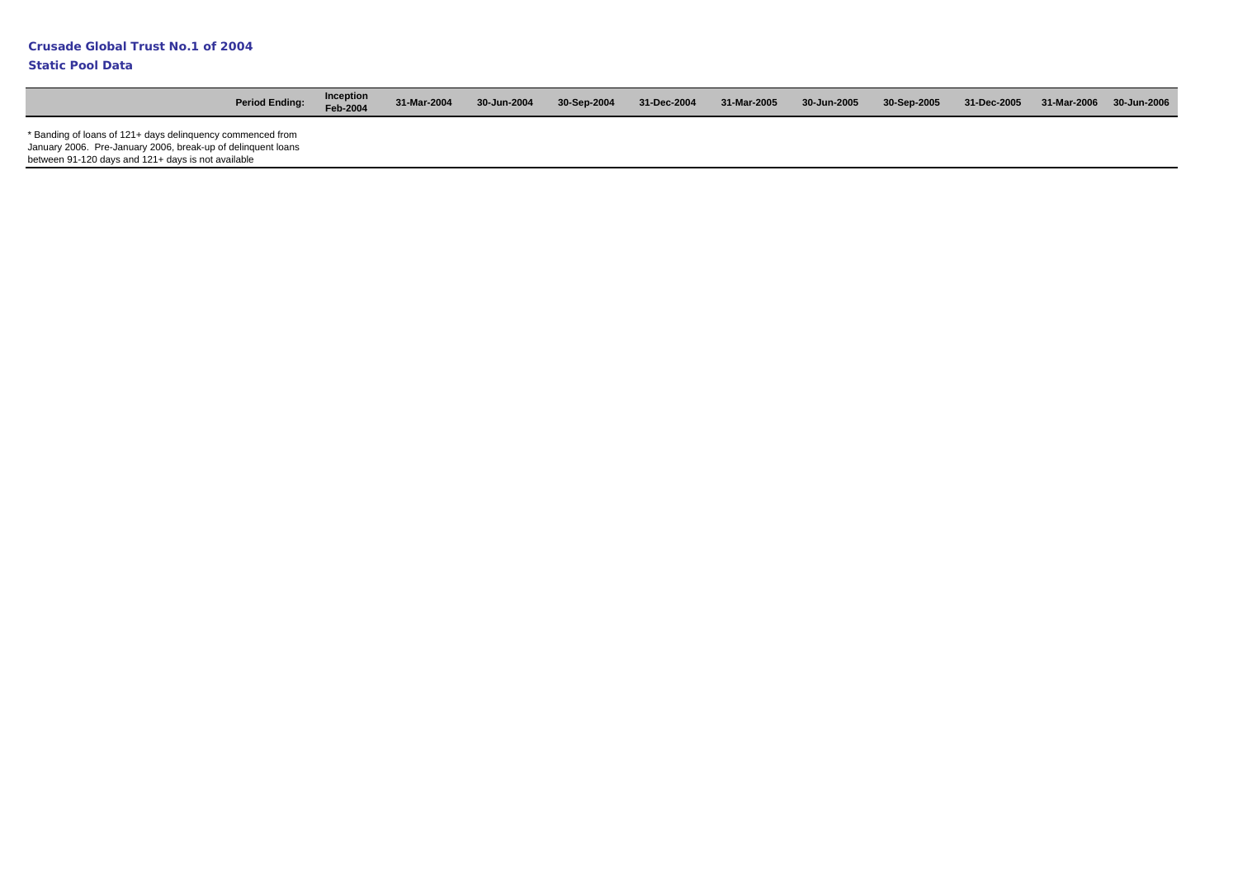| <b>Period Ending:</b>                                                                                                                                                            | Inception<br>Feb-2004 | 31-Mar-2004 | 30-Jun-2004 | 30-Sep-2004 | 31-Dec-2004 | 31-Mar-2005 | 30-Jun-2005 | 30-Sep-2005 | 31-Dec-2005 | 31-Mar-2006 30-Jun-2006 |
|----------------------------------------------------------------------------------------------------------------------------------------------------------------------------------|-----------------------|-------------|-------------|-------------|-------------|-------------|-------------|-------------|-------------|-------------------------|
| * Banding of loans of 121+ days delinguency commenced from<br>January 2006. Pre-January 2006, break-up of delinguent loans<br>between 91-120 days and 121+ days is not available |                       |             |             |             |             |             |             |             |             |                         |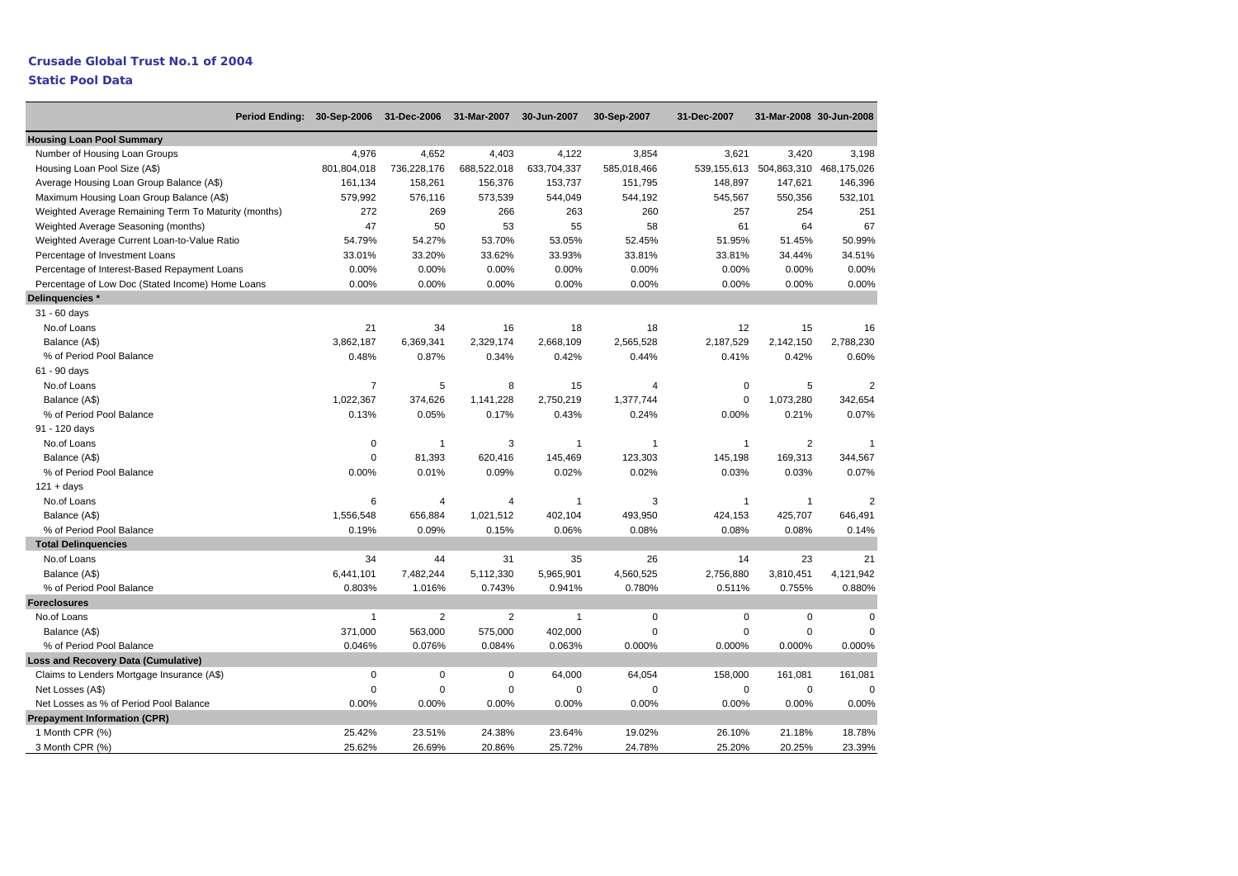## **Crusade Global Trust No.1 of 2004**

| Period Ending: 30-Sep-2006                           |                | 31-Dec-2006 31-Mar-2007 |                | 30-Jun-2007  | 30-Sep-2007  | 31-Dec-2007  |                | 31-Mar-2008 30-Jun-2008 |
|------------------------------------------------------|----------------|-------------------------|----------------|--------------|--------------|--------------|----------------|-------------------------|
| <b>Housing Loan Pool Summary</b>                     |                |                         |                |              |              |              |                |                         |
| Number of Housing Loan Groups                        | 4,976          | 4,652                   | 4,403          | 4,122        | 3,854        | 3,621        | 3,420          | 3,198                   |
| Housing Loan Pool Size (A\$)                         | 801,804,018    | 736,228,176             | 688,522,018    | 633,704,337  | 585,018,466  | 539,155,613  |                | 504,863,310 468,175,026 |
| Average Housing Loan Group Balance (A\$)             | 161,134        | 158,261                 | 156,376        | 153,737      | 151,795      | 148,897      | 147,621        | 146,396                 |
| Maximum Housing Loan Group Balance (A\$)             | 579,992        | 576,116                 | 573,539        | 544,049      | 544,192      | 545,567      | 550,356        | 532,101                 |
| Weighted Average Remaining Term To Maturity (months) | 272            | 269                     | 266            | 263          | 260          | 257          | 254            | 251                     |
| Weighted Average Seasoning (months)                  | 47             | 50                      | 53             | 55           | 58           | 61           | 64             | 67                      |
| Weighted Average Current Loan-to-Value Ratio         | 54.79%         | 54.27%                  | 53.70%         | 53.05%       | 52.45%       | 51.95%       | 51.45%         | 50.99%                  |
| Percentage of Investment Loans                       | 33.01%         | 33.20%                  | 33.62%         | 33.93%       | 33.81%       | 33.81%       | 34.44%         | 34.51%                  |
| Percentage of Interest-Based Repayment Loans         | 0.00%          | 0.00%                   | 0.00%          | 0.00%        | 0.00%        | 0.00%        | 0.00%          | 0.00%                   |
| Percentage of Low Doc (Stated Income) Home Loans     | 0.00%          | 0.00%                   | 0.00%          | 0.00%        | 0.00%        | 0.00%        | 0.00%          | 0.00%                   |
| Delinguencies *                                      |                |                         |                |              |              |              |                |                         |
| 31 - 60 days                                         |                |                         |                |              |              |              |                |                         |
| No.of Loans                                          | 21             | 34                      | 16             | 18           | 18           | 12           | 15             | 16                      |
| Balance (A\$)                                        | 3,862,187      | 6,369,341               | 2,329,174      | 2,668,109    | 2,565,528    | 2,187,529    | 2,142,150      | 2,788,230               |
| % of Period Pool Balance                             | 0.48%          | 0.87%                   | 0.34%          | 0.42%        | 0.44%        | 0.41%        | 0.42%          | 0.60%                   |
| 61 - 90 days                                         |                |                         |                |              |              |              |                |                         |
| No.of Loans                                          | $\overline{7}$ | 5                       | 8              | 15           | 4            | $\mathbf 0$  | 5              | $\overline{2}$          |
| Balance (A\$)                                        | 1,022,367      | 374,626                 | 1,141,228      | 2,750,219    | 1,377,744    | $\mathbf 0$  | 1,073,280      | 342,654                 |
| % of Period Pool Balance                             | 0.13%          | 0.05%                   | 0.17%          | 0.43%        | 0.24%        | 0.00%        | 0.21%          | 0.07%                   |
| 91 - 120 days                                        |                |                         |                |              |              |              |                |                         |
| No.of Loans                                          | 0              | $\overline{1}$          | 3              | $\mathbf{1}$ | $\mathbf{1}$ | $\mathbf{1}$ | $\overline{2}$ | $\overline{1}$          |
| Balance (A\$)                                        | $\mathbf 0$    | 81,393                  | 620,416        | 145,469      | 123,303      | 145,198      | 169,313        | 344,567                 |
| % of Period Pool Balance                             | 0.00%          | 0.01%                   | 0.09%          | 0.02%        | 0.02%        | 0.03%        | 0.03%          | 0.07%                   |
| $121 + days$                                         |                |                         |                |              |              |              |                |                         |
| No.of Loans                                          | 6              | $\overline{4}$          | $\overline{4}$ | $\mathbf{1}$ | 3            | $\mathbf{1}$ | $\mathbf{1}$   | $\overline{2}$          |
| Balance (A\$)                                        | 1,556,548      | 656,884                 | 1,021,512      | 402,104      | 493,950      | 424,153      | 425,707        | 646,491                 |
| % of Period Pool Balance                             | 0.19%          | 0.09%                   | 0.15%          | 0.06%        | 0.08%        | 0.08%        | 0.08%          | 0.14%                   |
| <b>Total Delinguencies</b>                           |                |                         |                |              |              |              |                |                         |
| No.of Loans                                          | 34             | 44                      | 31             | 35           | 26           | 14           | 23             | 21                      |
| Balance (A\$)                                        | 6,441,101      | 7,482,244               | 5,112,330      | 5,965,901    | 4,560,525    | 2,756,880    | 3,810,451      | 4,121,942               |
| % of Period Pool Balance                             | 0.803%         | 1.016%                  | 0.743%         | 0.941%       | 0.780%       | 0.511%       | 0.755%         | 0.880%                  |
| <b>Foreclosures</b>                                  |                |                         |                |              |              |              |                |                         |
| No.of Loans                                          | $\overline{1}$ | $\overline{2}$          | 2              | $\mathbf{1}$ | $\pmb{0}$    | $\mathbf 0$  | 0              | $\mathbf 0$             |
| Balance (A\$)                                        | 371,000        | 563,000                 | 575,000        | 402,000      | $\mathbf 0$  | $\mathbf 0$  | $\mathbf 0$    | $\Omega$                |
| % of Period Pool Balance                             | 0.046%         | 0.076%                  | 0.084%         | 0.063%       | 0.000%       | 0.000%       | 0.000%         | 0.000%                  |
| <b>Loss and Recovery Data (Cumulative)</b>           |                |                         |                |              |              |              |                |                         |
| Claims to Lenders Mortgage Insurance (A\$)           | $\mathbf 0$    | $\mathbf 0$             | $\mathbf 0$    | 64,000       | 64,054       | 158,000      | 161,081        | 161,081                 |
| Net Losses (A\$)                                     | $\mathbf 0$    | $\mathbf 0$             | $\mathbf 0$    | 0            | $\Omega$     | $\mathbf 0$  | $\mathbf 0$    | $\mathbf 0$             |
| Net Losses as % of Period Pool Balance               | 0.00%          | 0.00%                   | 0.00%          | 0.00%        | 0.00%        | 0.00%        | 0.00%          | 0.00%                   |
| <b>Prepayment Information (CPR)</b>                  |                |                         |                |              |              |              |                |                         |
| 1 Month CPR (%)                                      | 25.42%         | 23.51%                  | 24.38%         | 23.64%       | 19.02%       | 26.10%       | 21.18%         | 18.78%                  |
| 3 Month CPR (%)                                      | 25.62%         | 26.69%                  | 20.86%         | 25.72%       | 24.78%       | 25.20%       | 20.25%         | 23.39%                  |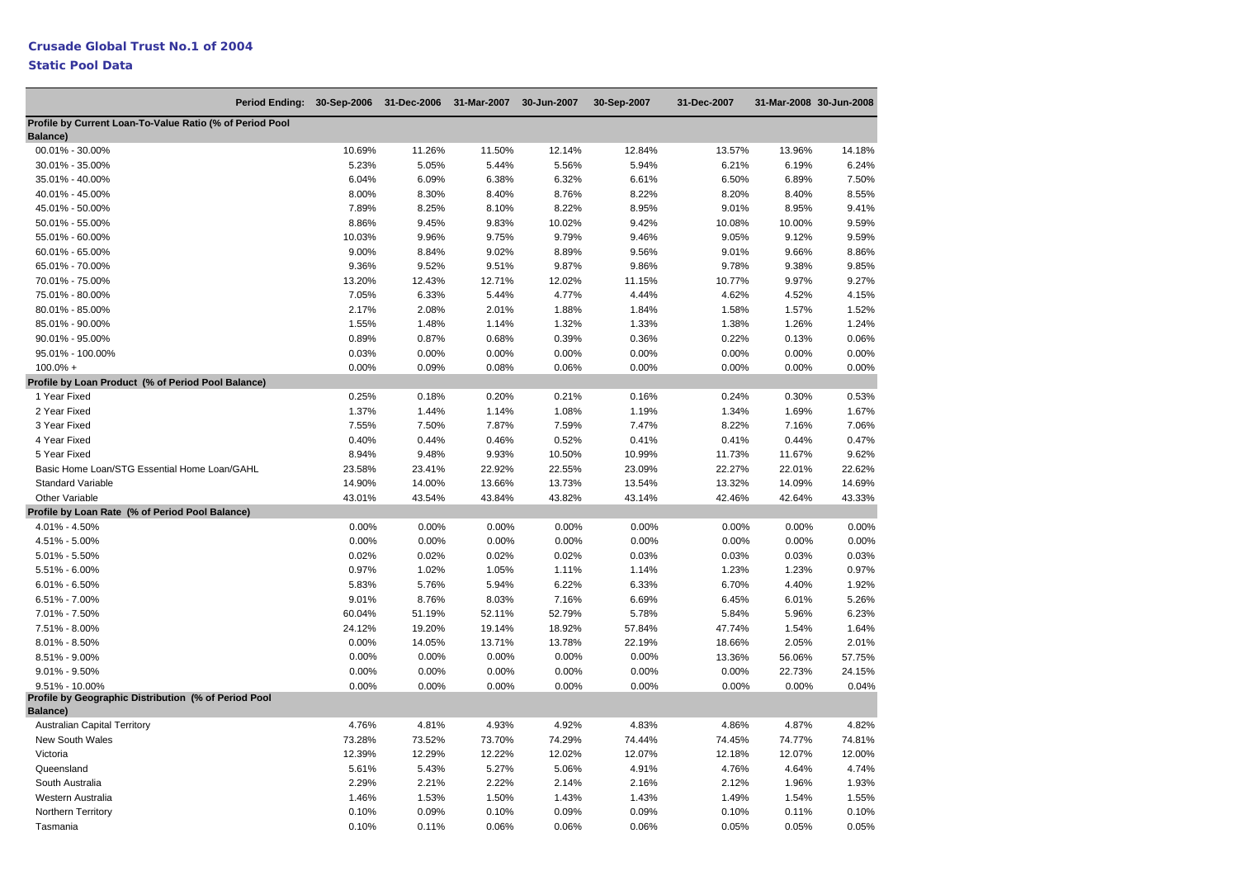| Period Ending: 30-Sep-2006                                              |        | 31-Dec-2006 | 31-Mar-2007 | 30-Jun-2007 | 30-Sep-2007 | 31-Dec-2007 |        | 31-Mar-2008 30-Jun-2008 |
|-------------------------------------------------------------------------|--------|-------------|-------------|-------------|-------------|-------------|--------|-------------------------|
| Profile by Current Loan-To-Value Ratio (% of Period Pool<br>Balance)    |        |             |             |             |             |             |        |                         |
| 00.01% - 30.00%                                                         | 10.69% | 11.26%      | 11.50%      | 12.14%      | 12.84%      | 13.57%      | 13.96% | 14.18%                  |
| 30.01% - 35.00%                                                         | 5.23%  | 5.05%       | 5.44%       | 5.56%       | 5.94%       | 6.21%       | 6.19%  | 6.24%                   |
| 35.01% - 40.00%                                                         | 6.04%  | 6.09%       | 6.38%       | 6.32%       | 6.61%       | 6.50%       | 6.89%  | 7.50%                   |
| 40.01% - 45.00%                                                         | 8.00%  | 8.30%       | 8.40%       | 8.76%       | 8.22%       | 8.20%       | 8.40%  | 8.55%                   |
| 45.01% - 50.00%                                                         | 7.89%  | 8.25%       | 8.10%       | 8.22%       | 8.95%       | 9.01%       | 8.95%  | 9.41%                   |
| 50.01% - 55.00%                                                         | 8.86%  | 9.45%       | 9.83%       | 10.02%      | 9.42%       | 10.08%      | 10.00% | 9.59%                   |
| 55.01% - 60.00%                                                         | 10.03% | 9.96%       | 9.75%       | 9.79%       | 9.46%       | 9.05%       | 9.12%  | 9.59%                   |
| 60.01% - 65.00%                                                         | 9.00%  | 8.84%       | 9.02%       | 8.89%       | 9.56%       | 9.01%       | 9.66%  | 8.86%                   |
| 65.01% - 70.00%                                                         | 9.36%  | 9.52%       | 9.51%       | 9.87%       | 9.86%       | 9.78%       | 9.38%  | 9.85%                   |
| 70.01% - 75.00%                                                         | 13.20% | 12.43%      | 12.71%      | 12.02%      | 11.15%      | 10.77%      | 9.97%  | 9.27%                   |
| 75.01% - 80.00%                                                         | 7.05%  | 6.33%       | 5.44%       | 4.77%       | 4.44%       | 4.62%       | 4.52%  | 4.15%                   |
| 80.01% - 85.00%                                                         | 2.17%  | 2.08%       | 2.01%       | 1.88%       | 1.84%       | 1.58%       | 1.57%  | 1.52%                   |
| 85.01% - 90.00%                                                         | 1.55%  | 1.48%       | 1.14%       | 1.32%       | 1.33%       | 1.38%       | 1.26%  | 1.24%                   |
| 90.01% - 95.00%                                                         | 0.89%  | 0.87%       | 0.68%       | 0.39%       | 0.36%       | 0.22%       | 0.13%  | 0.06%                   |
| 95.01% - 100.00%                                                        | 0.03%  | 0.00%       | 0.00%       | 0.00%       | 0.00%       | 0.00%       | 0.00%  | 0.00%                   |
| $100.0% +$                                                              | 0.00%  | 0.09%       | 0.08%       | 0.06%       | 0.00%       | 0.00%       | 0.00%  | 0.00%                   |
| Profile by Loan Product (% of Period Pool Balance)                      |        |             |             |             |             |             |        |                         |
| 1 Year Fixed                                                            | 0.25%  | 0.18%       | 0.20%       | 0.21%       | 0.16%       | 0.24%       | 0.30%  | 0.53%                   |
| 2 Year Fixed                                                            | 1.37%  | 1.44%       | 1.14%       | 1.08%       | 1.19%       | 1.34%       | 1.69%  | 1.67%                   |
| 3 Year Fixed                                                            | 7.55%  | 7.50%       | 7.87%       | 7.59%       | 7.47%       | 8.22%       | 7.16%  | 7.06%                   |
| 4 Year Fixed                                                            | 0.40%  | 0.44%       | 0.46%       | 0.52%       | 0.41%       | 0.41%       | 0.44%  | 0.47%                   |
| 5 Year Fixed                                                            | 8.94%  | 9.48%       | 9.93%       | 10.50%      | 10.99%      | 11.73%      | 11.67% | 9.62%                   |
| Basic Home Loan/STG Essential Home Loan/GAHL                            | 23.58% | 23.41%      | 22.92%      | 22.55%      | 23.09%      | 22.27%      | 22.01% | 22.62%                  |
| <b>Standard Variable</b>                                                | 14.90% | 14.00%      | 13.66%      | 13.73%      | 13.54%      | 13.32%      | 14.09% | 14.69%                  |
| Other Variable                                                          | 43.01% | 43.54%      | 43.84%      | 43.82%      | 43.14%      | 42.46%      | 42.64% | 43.33%                  |
| Profile by Loan Rate (% of Period Pool Balance)                         |        |             |             |             |             |             |        |                         |
| 4.01% - 4.50%                                                           | 0.00%  | 0.00%       | 0.00%       | 0.00%       | 0.00%       | 0.00%       | 0.00%  | 0.00%                   |
| 4.51% - 5.00%                                                           | 0.00%  | 0.00%       | 0.00%       | 0.00%       | 0.00%       | 0.00%       | 0.00%  | 0.00%                   |
| 5.01% - 5.50%                                                           | 0.02%  | 0.02%       | 0.02%       | 0.02%       | 0.03%       | 0.03%       | 0.03%  | 0.03%                   |
| 5.51% - 6.00%                                                           | 0.97%  | 1.02%       | 1.05%       | 1.11%       | 1.14%       | 1.23%       | 1.23%  | 0.97%                   |
| $6.01\% - 6.50\%$                                                       | 5.83%  | 5.76%       | 5.94%       | 6.22%       | 6.33%       | 6.70%       | 4.40%  | 1.92%                   |
| $6.51\% - 7.00\%$                                                       | 9.01%  | 8.76%       | 8.03%       | 7.16%       | 6.69%       | 6.45%       | 6.01%  | 5.26%                   |
| 7.01% - 7.50%                                                           | 60.04% | 51.19%      | 52.11%      | 52.79%      | 5.78%       | 5.84%       | 5.96%  | 6.23%                   |
| 7.51% - 8.00%                                                           | 24.12% | 19.20%      | 19.14%      | 18.92%      | 57.84%      | 47.74%      | 1.54%  | 1.64%                   |
| 8.01% - 8.50%                                                           | 0.00%  | 14.05%      | 13.71%      | 13.78%      | 22.19%      | 18.66%      | 2.05%  | 2.01%                   |
| 8.51% - 9.00%                                                           | 0.00%  | 0.00%       | 0.00%       | 0.00%       | 0.00%       | 13.36%      | 56.06% | 57.75%                  |
| $9.01\% - 9.50\%$                                                       | 0.00%  | 0.00%       | 0.00%       | 0.00%       | 0.00%       | 0.00%       | 22.73% | 24.15%                  |
| $9.51\% - 10.00\%$                                                      | 0.00%  | 0.00%       | 0.00%       | 0.00%       | 0.00%       | 0.00%       | 0.00%  | 0.04%                   |
| Profile by Geographic Distribution (% of Period Pool<br><b>Balance)</b> |        |             |             |             |             |             |        |                         |
| <b>Australian Capital Territory</b>                                     | 4.76%  | 4.81%       | 4.93%       | 4.92%       | 4.83%       | 4.86%       | 4.87%  | 4.82%                   |
| <b>New South Wales</b>                                                  | 73.28% | 73.52%      | 73.70%      | 74.29%      | 74.44%      | 74.45%      | 74.77% | 74.81%                  |
| Victoria                                                                | 12.39% | 12.29%      | 12.22%      | 12.02%      | 12.07%      | 12.18%      | 12.07% | 12.00%                  |
| Queensland                                                              | 5.61%  | 5.43%       | 5.27%       | 5.06%       | 4.91%       | 4.76%       | 4.64%  | 4.74%                   |
| South Australia                                                         | 2.29%  | 2.21%       | 2.22%       | 2.14%       | 2.16%       | 2.12%       | 1.96%  | 1.93%                   |
| Western Australia                                                       | 1.46%  | 1.53%       | 1.50%       | 1.43%       | 1.43%       | 1.49%       | 1.54%  | 1.55%                   |
| Northern Territory                                                      | 0.10%  | 0.09%       | 0.10%       | 0.09%       | 0.09%       | 0.10%       | 0.11%  | 0.10%                   |
| Tasmania                                                                | 0.10%  | 0.11%       | 0.06%       | 0.06%       | 0.06%       | 0.05%       | 0.05%  | 0.05%                   |